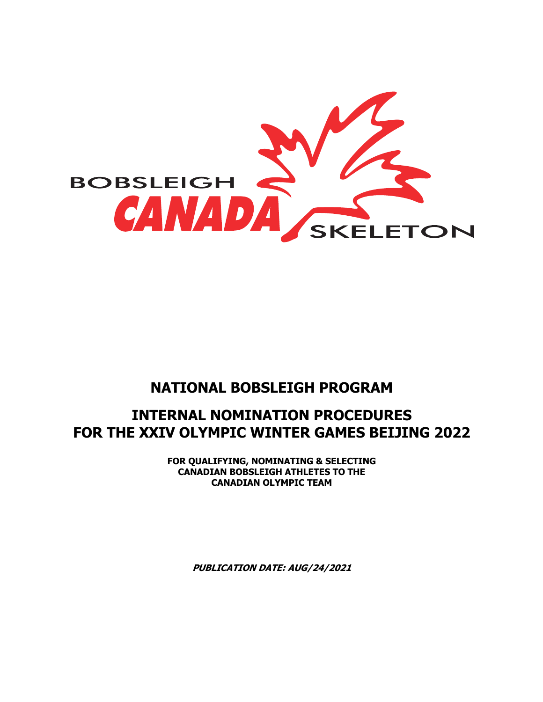

# **NATIONAL BOBSLEIGH PROGRAM**

# **INTERNAL NOMINATION PROCEDURES FOR THE XXIV OLYMPIC WINTER GAMES BEIJING 2022**

**FOR QUALIFYING, NOMINATING & SELECTING CANADIAN BOBSLEIGH ATHLETES TO THE CANADIAN OLYMPIC TEAM**

**PUBLICATION DATE: AUG/24/2021**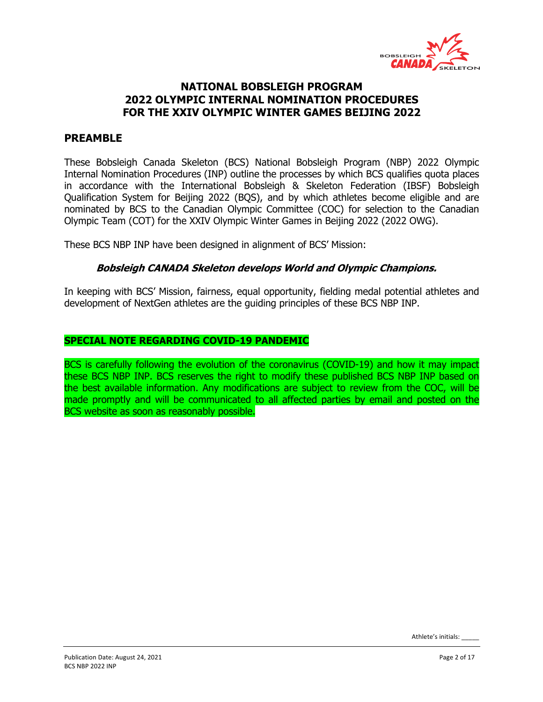

# **PREAMBLE**

These Bobsleigh Canada Skeleton (BCS) National Bobsleigh Program (NBP) 2022 Olympic Internal Nomination Procedures (INP) outline the processes by which BCS qualifies quota places in accordance with the International Bobsleigh & Skeleton Federation (IBSF) Bobsleigh Qualification System for Beijing 2022 (BQS), and by which athletes become eligible and are nominated by BCS to the Canadian Olympic Committee (COC) for selection to the Canadian Olympic Team (COT) for the XXIV Olympic Winter Games in Beijing 2022 (2022 OWG).

These BCS NBP INP have been designed in alignment of BCS' Mission:

#### **Bobsleigh CANADA Skeleton develops World and Olympic Champions.**

In keeping with BCS' Mission, fairness, equal opportunity, fielding medal potential athletes and development of NextGen athletes are the guiding principles of these BCS NBP INP.

#### **SPECIAL NOTE REGARDING COVID-19 PANDEMIC**

BCS is carefully following the evolution of the coronavirus (COVID-19) and how it may impact these BCS NBP INP. BCS reserves the right to modify these published BCS NBP INP based on the best available information. Any modifications are subject to review from the COC, will be made promptly and will be communicated to all affected parties by email and posted on the BCS website as soon as reasonably possible.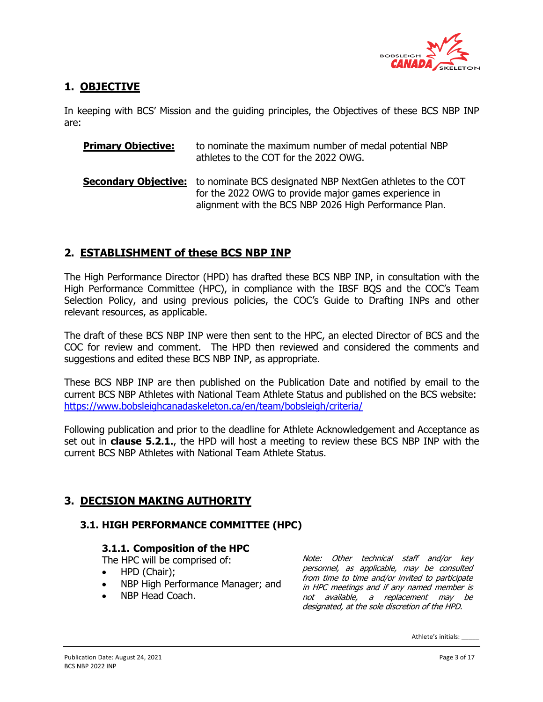

# **1. OBJECTIVE**

In keeping with BCS' Mission and the guiding principles, the Objectives of these BCS NBP INP are:

| <b>Primary Objective:</b> | to nominate the maximum number of medal potential NBP<br>athletes to the COT for the 2022 OWG.                                                                                                            |
|---------------------------|-----------------------------------------------------------------------------------------------------------------------------------------------------------------------------------------------------------|
|                           | <b>Secondary Objective:</b> to nominate BCS designated NBP NextGen athletes to the COT<br>for the 2022 OWG to provide major games experience in<br>alignment with the BCS NBP 2026 High Performance Plan. |

# **2. ESTABLISHMENT of these BCS NBP INP**

The High Performance Director (HPD) has drafted these BCS NBP INP, in consultation with the High Performance Committee (HPC), in compliance with the IBSF BQS and the COC's Team Selection Policy, and using previous policies, the COC's Guide to Drafting INPs and other relevant resources, as applicable.

The draft of these BCS NBP INP were then sent to the HPC, an elected Director of BCS and the COC for review and comment. The HPD then reviewed and considered the comments and suggestions and edited these BCS NBP INP, as appropriate.

These BCS NBP INP are then published on the Publication Date and notified by email to the current BCS NBP Athletes with National Team Athlete Status and published on the BCS website: https://www.bobsleighcanadaskeleton.ca/en/team/bobsleigh/criteria/

Following publication and prior to the deadline for Athlete Acknowledgement and Acceptance as set out in **clause 5.2.1.**, the HPD will host a meeting to review these BCS NBP INP with the current BCS NBP Athletes with National Team Athlete Status.

# **3. DECISION MAKING AUTHORITY**

### **3.1. HIGH PERFORMANCE COMMITTEE (HPC)**

### **3.1.1. Composition of the HPC**

The HPC will be comprised of:

- HPD (Chair);
- NBP High Performance Manager; and
- NBP Head Coach.

Note: Other technical staff and/or key personnel, as applicable, may be consulted from time to time and/or invited to participate in HPC meetings and if any named member is not available, a replacement may be designated, at the sole discretion of the HPD.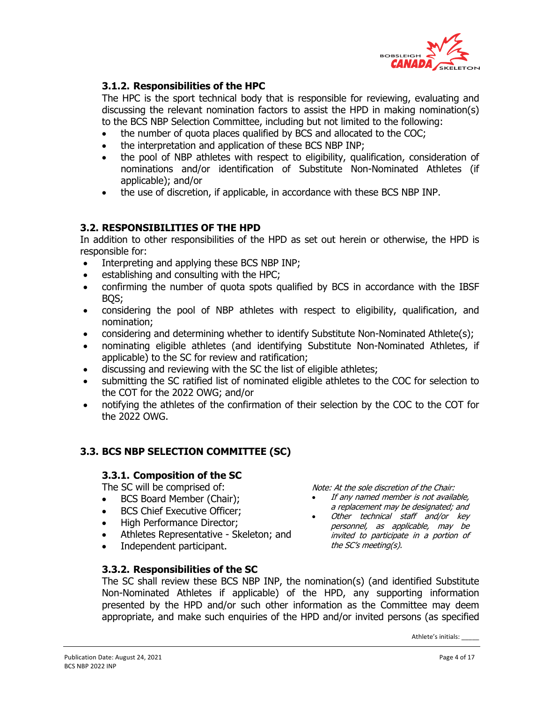

## **3.1.2. Responsibilities of the HPC**

The HPC is the sport technical body that is responsible for reviewing, evaluating and discussing the relevant nomination factors to assist the HPD in making nomination(s) to the BCS NBP Selection Committee, including but not limited to the following:

- the number of quota places qualified by BCS and allocated to the COC;
- the interpretation and application of these BCS NBP INP;
- the pool of NBP athletes with respect to eligibility, qualification, consideration of nominations and/or identification of Substitute Non-Nominated Athletes (if applicable); and/or
- the use of discretion, if applicable, in accordance with these BCS NBP INP.

#### **3.2. RESPONSIBILITIES OF THE HPD**

In addition to other responsibilities of the HPD as set out herein or otherwise, the HPD is responsible for:

- Interpreting and applying these BCS NBP INP;
- establishing and consulting with the HPC;
- confirming the number of quota spots qualified by BCS in accordance with the IBSF BQS;
- considering the pool of NBP athletes with respect to eligibility, qualification, and nomination;
- considering and determining whether to identify Substitute Non-Nominated Athlete(s);
- nominating eligible athletes (and identifying Substitute Non-Nominated Athletes, if applicable) to the SC for review and ratification;
- discussing and reviewing with the SC the list of eligible athletes;
- submitting the SC ratified list of nominated eligible athletes to the COC for selection to the COT for the 2022 OWG; and/or
- notifying the athletes of the confirmation of their selection by the COC to the COT for the 2022 OWG.

### **3.3. BCS NBP SELECTION COMMITTEE (SC)**

#### **3.3.1. Composition of the SC**

The SC will be comprised of:

- BCS Board Member (Chair);
- BCS Chief Executive Officer;
- High Performance Director;
- Athletes Representative Skeleton; and
- Independent participant.

#### **3.3.2. Responsibilities of the SC**

Note: At the sole discretion of the Chair:

- If any named member is not available, a replacement may be designated; and
- Other technical staff and/or key personnel, as applicable, may be invited to participate in a portion of the SC's meeting(s).

The SC shall review these BCS NBP INP, the nomination(s) (and identified Substitute Non-Nominated Athletes if applicable) of the HPD, any supporting information presented by the HPD and/or such other information as the Committee may deem appropriate, and make such enquiries of the HPD and/or invited persons (as specified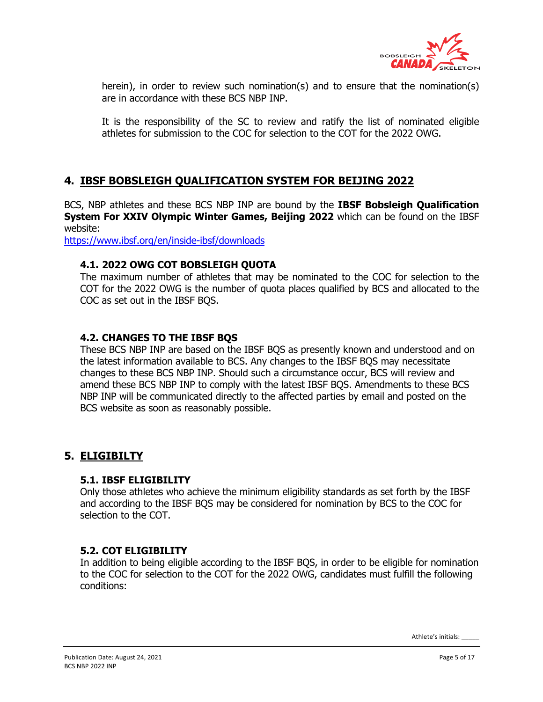

herein), in order to review such nomination(s) and to ensure that the nomination(s) are in accordance with these BCS NBP INP.

It is the responsibility of the SC to review and ratify the list of nominated eligible athletes for submission to the COC for selection to the COT for the 2022 OWG.

# **4. IBSF BOBSLEIGH QUALIFICATION SYSTEM FOR BEIJING 2022**

BCS, NBP athletes and these BCS NBP INP are bound by the **IBSF Bobsleigh Qualification System For XXIV Olympic Winter Games, Beijing 2022** which can be found on the IBSF website:

https://www.ibsf.org/en/inside-ibsf/downloads

#### **4.1. 2022 OWG COT BOBSLEIGH QUOTA**

The maximum number of athletes that may be nominated to the COC for selection to the COT for the 2022 OWG is the number of quota places qualified by BCS and allocated to the COC as set out in the IBSF BQS.

### **4.2. CHANGES TO THE IBSF BQS**

These BCS NBP INP are based on the IBSF BQS as presently known and understood and on the latest information available to BCS. Any changes to the IBSF BQS may necessitate changes to these BCS NBP INP. Should such a circumstance occur, BCS will review and amend these BCS NBP INP to comply with the latest IBSF BQS. Amendments to these BCS NBP INP will be communicated directly to the affected parties by email and posted on the BCS website as soon as reasonably possible.

### **5. ELIGIBILTY**

#### **5.1. IBSF ELIGIBILITY**

Only those athletes who achieve the minimum eligibility standards as set forth by the IBSF and according to the IBSF BQS may be considered for nomination by BCS to the COC for selection to the COT.

### **5.2. COT ELIGIBILITY**

In addition to being eligible according to the IBSF BQS, in order to be eligible for nomination to the COC for selection to the COT for the 2022 OWG, candidates must fulfill the following conditions: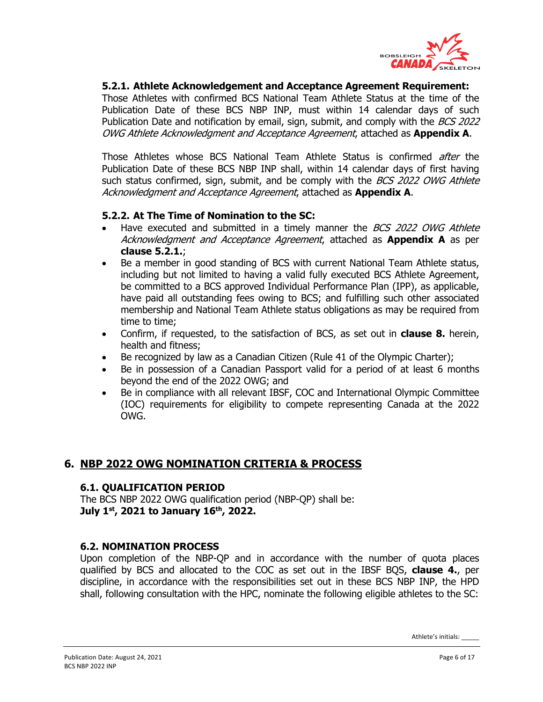

#### **5.2.1. Athlete Acknowledgement and Acceptance Agreement Requirement:**

Those Athletes with confirmed BCS National Team Athlete Status at the time of the Publication Date of these BCS NBP INP, must within 14 calendar days of such Publication Date and notification by email, sign, submit, and comply with the BCS 2022 OWG Athlete Acknowledgment and Acceptance Agreement, attached as **Appendix A**.

Those Athletes whose BCS National Team Athlete Status is confirmed *after* the Publication Date of these BCS NBP INP shall, within 14 calendar days of first having such status confirmed, sign, submit, and be comply with the BCS 2022 OWG Athlete Acknowledgment and Acceptance Agreement, attached as **Appendix A**.

#### **5.2.2. At The Time of Nomination to the SC:**

- Have executed and submitted in a timely manner the BCS 2022 OWG Athlete Acknowledgment and Acceptance Agreement, attached as **Appendix A** as per **clause 5.2.1.**;
- Be a member in good standing of BCS with current National Team Athlete status, including but not limited to having a valid fully executed BCS Athlete Agreement, be committed to a BCS approved Individual Performance Plan (IPP), as applicable, have paid all outstanding fees owing to BCS; and fulfilling such other associated membership and National Team Athlete status obligations as may be required from time to time;
- Confirm, if requested, to the satisfaction of BCS, as set out in **clause 8.** herein, health and fitness;
- Be recognized by law as a Canadian Citizen (Rule 41 of the Olympic Charter);
- Be in possession of a Canadian Passport valid for a period of at least 6 months beyond the end of the 2022 OWG; and
- Be in compliance with all relevant IBSF, COC and International Olympic Committee (IOC) requirements for eligibility to compete representing Canada at the 2022 OWG.

### **6. NBP 2022 OWG NOMINATION CRITERIA & PROCESS**

#### **6.1. QUALIFICATION PERIOD**

The BCS NBP 2022 OWG qualification period (NBP-QP) shall be: **July 1st, 2021 to January 16th, 2022.**

#### **6.2. NOMINATION PROCESS**

Upon completion of the NBP-QP and in accordance with the number of quota places qualified by BCS and allocated to the COC as set out in the IBSF BQS, **clause 4.**, per discipline, in accordance with the responsibilities set out in these BCS NBP INP, the HPD shall, following consultation with the HPC, nominate the following eligible athletes to the SC: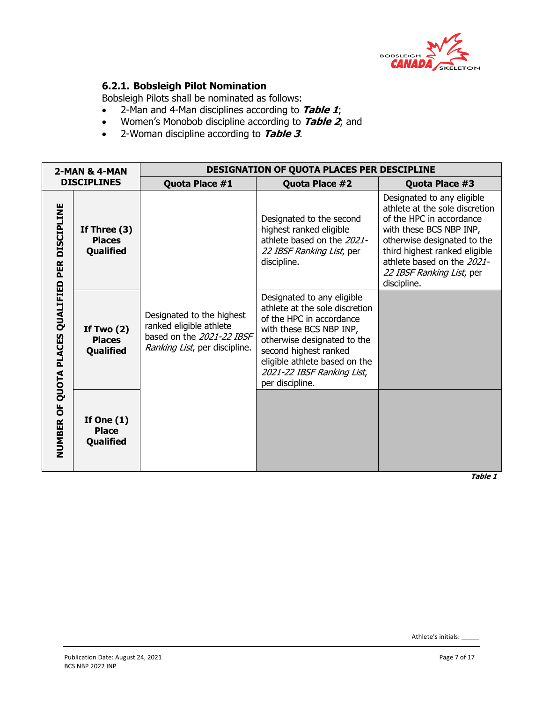

# **6.2.1. Bobsleigh Pilot Nomination**

Bobsleigh Pilots shall be nominated as follows:

- 2-Man and 4-Man disciplines according to **Table 1**;
- Women's Monobob discipline according to **Table 2**; and
- 2-Woman discipline according to **Table 3**.

|                          | 2-MAN & 4-MAN                                |                                                                                                                    | <b>DESIGNATION OF QUOTA PLACES PER DESCIPLINE</b>                                                                                                                                                                                                             |                                                                                                                                                                                                                                                               |
|--------------------------|----------------------------------------------|--------------------------------------------------------------------------------------------------------------------|---------------------------------------------------------------------------------------------------------------------------------------------------------------------------------------------------------------------------------------------------------------|---------------------------------------------------------------------------------------------------------------------------------------------------------------------------------------------------------------------------------------------------------------|
|                          | <b>DISCIPLINES</b>                           | Quota Place #1                                                                                                     | Quota Place #2                                                                                                                                                                                                                                                | Quota Place #3                                                                                                                                                                                                                                                |
| <b>DISCIPLINE</b><br>PER | If Three $(3)$<br><b>Places</b><br>Qualified |                                                                                                                    | Designated to the second<br>highest ranked eligible<br>athlete based on the 2021-<br>22 IBSF Ranking List, per<br>discipline.                                                                                                                                 | Designated to any eligible<br>athlete at the sole discretion<br>of the HPC in accordance<br>with these BCS NBP INP,<br>otherwise designated to the<br>third highest ranked eligible<br>athlete based on the 2021-<br>22 IBSF Ranking List, per<br>discipline. |
| QUOTA PLACES QUALIFIED   | If Two $(2)$<br><b>Places</b><br>Qualified   | Designated to the highest<br>ranked eligible athlete<br>based on the 2021-22 IBSF<br>Ranking List, per discipline. | Designated to any eligible<br>athlete at the sole discretion<br>of the HPC in accordance<br>with these BCS NBP INP,<br>otherwise designated to the<br>second highest ranked<br>eligible athlete based on the<br>2021-22 IBSF Ranking List,<br>per discipline. |                                                                                                                                                                                                                                                               |
| <b>NUMBER OF</b>         | If One $(1)$<br><b>Place</b><br>Qualified    |                                                                                                                    |                                                                                                                                                                                                                                                               |                                                                                                                                                                                                                                                               |

**Table 1**

Athlete's initials: \_\_\_\_\_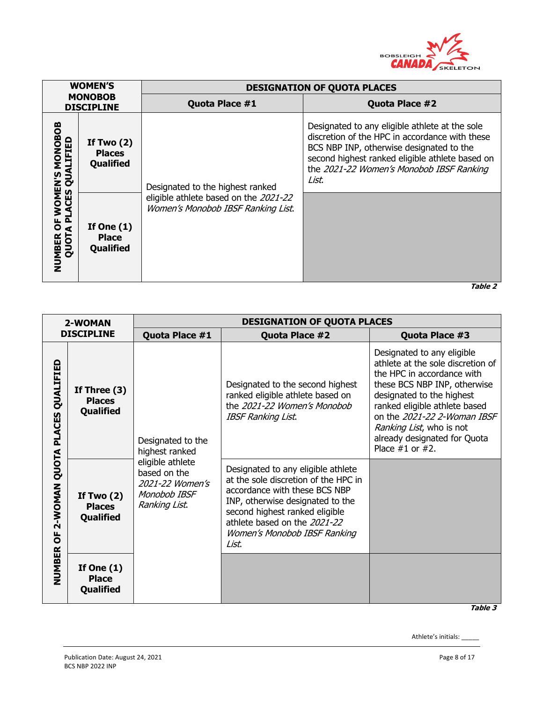

|                                          | <b>WOMEN'S</b>                                    | <b>DESIGNATION OF QUOTA PLACES</b>                                          |                                                                                                                                                                                                                                                      |  |  |  |  |  |  |  |  |  |  |  |  |
|------------------------------------------|---------------------------------------------------|-----------------------------------------------------------------------------|------------------------------------------------------------------------------------------------------------------------------------------------------------------------------------------------------------------------------------------------------|--|--|--|--|--|--|--|--|--|--|--|--|
|                                          | <b>MONOBOB</b><br><b>DISCIPLINE</b>               | Quota Place #1                                                              | Quota Place #2                                                                                                                                                                                                                                       |  |  |  |  |  |  |  |  |  |  |  |  |
| OF WOMEN'S MONOBOB<br>A PLACES QUALIFIED | If Two $(2)$<br><b>Places</b><br><b>Qualified</b> | Designated to the highest ranked                                            | Designated to any eligible athlete at the sole<br>discretion of the HPC in accordance with these<br>BCS NBP INP, otherwise designated to the<br>second highest ranked eligible athlete based on<br>the 2021-22 Women's Monobob IBSF Ranking<br>List. |  |  |  |  |  |  |  |  |  |  |  |  |
| <b>NUMBER</b><br>QUOT                    | If One $(1)$<br><b>Place</b><br><b>Qualified</b>  | eligible athlete based on the 2021-22<br>Women's Monobob IBSF Ranking List. |                                                                                                                                                                                                                                                      |  |  |  |  |  |  |  |  |  |  |  |  |

**Table 2**

|                                                  | 2-WOMAN                                      |                                                                                      | <b>DESIGNATION OF QUOTA PLACES</b>                                                                                                                                                                                                                         |                                                                                                                                                                                                                                                                                                                |
|--------------------------------------------------|----------------------------------------------|--------------------------------------------------------------------------------------|------------------------------------------------------------------------------------------------------------------------------------------------------------------------------------------------------------------------------------------------------------|----------------------------------------------------------------------------------------------------------------------------------------------------------------------------------------------------------------------------------------------------------------------------------------------------------------|
|                                                  | <b>DISCIPLINE</b>                            | Quota Place #1                                                                       | Quota Place #2                                                                                                                                                                                                                                             | Quota Place #3                                                                                                                                                                                                                                                                                                 |
| QUALIFIED                                        | If Three $(3)$<br><b>Places</b><br>Qualified | Designated to the<br>highest ranked                                                  | Designated to the second highest<br>ranked eligible athlete based on<br>the 2021-22 Women's Monobob<br><b>IBSF Ranking List.</b>                                                                                                                           | Designated to any eligible<br>athlete at the sole discretion of<br>the HPC in accordance with<br>these BCS NBP INP, otherwise<br>designated to the highest<br>ranked eligible athlete based<br>on the 2021-22 2-Woman IBSF<br>Ranking List, who is not<br>already designated for Quota<br>Place $#1$ or $#2$ . |
| 2-WOMAN QUOTA PLACES<br>$\overline{0}$<br>NUMBER | If Two $(2)$<br><b>Places</b><br>Qualified   | eligible athlete<br>based on the<br>2021-22 Women's<br>Monobob IBSF<br>Ranking List. | Designated to any eligible athlete<br>at the sole discretion of the HPC in<br>accordance with these BCS NBP<br>INP, otherwise designated to the<br>second highest ranked eligible<br>athlete based on the 2021-22<br>Women's Monobob IBSF Ranking<br>List. |                                                                                                                                                                                                                                                                                                                |
|                                                  | If One $(1)$<br><b>Place</b><br>Qualified    |                                                                                      |                                                                                                                                                                                                                                                            |                                                                                                                                                                                                                                                                                                                |

**Table 3**

Athlete's initials: \_\_\_\_\_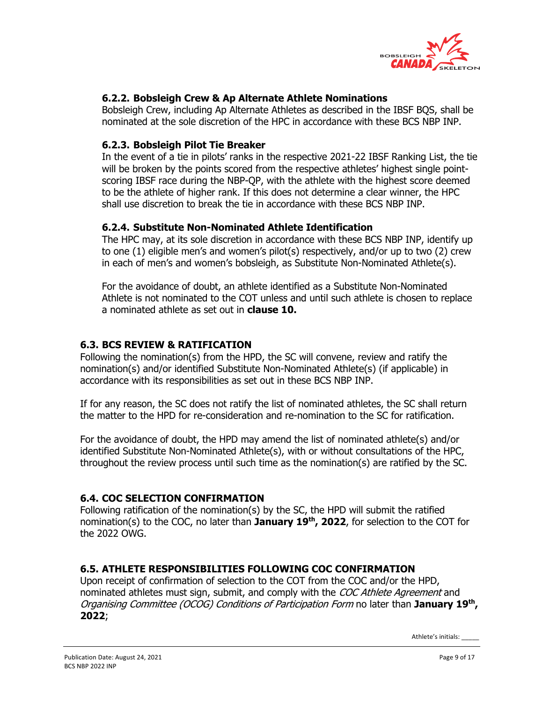

# **6.2.2. Bobsleigh Crew & Ap Alternate Athlete Nominations**

Bobsleigh Crew, including Ap Alternate Athletes as described in the IBSF BQS, shall be nominated at the sole discretion of the HPC in accordance with these BCS NBP INP.

#### **6.2.3. Bobsleigh Pilot Tie Breaker**

In the event of a tie in pilots' ranks in the respective 2021-22 IBSF Ranking List, the tie will be broken by the points scored from the respective athletes' highest single pointscoring IBSF race during the NBP-QP, with the athlete with the highest score deemed to be the athlete of higher rank. If this does not determine a clear winner, the HPC shall use discretion to break the tie in accordance with these BCS NBP INP.

#### **6.2.4. Substitute Non-Nominated Athlete Identification**

The HPC may, at its sole discretion in accordance with these BCS NBP INP, identify up to one (1) eligible men's and women's pilot(s) respectively, and/or up to two (2) crew in each of men's and women's bobsleigh, as Substitute Non-Nominated Athlete(s).

For the avoidance of doubt, an athlete identified as a Substitute Non-Nominated Athlete is not nominated to the COT unless and until such athlete is chosen to replace a nominated athlete as set out in **clause 10.**

### **6.3. BCS REVIEW & RATIFICATION**

Following the nomination(s) from the HPD, the SC will convene, review and ratify the nomination(s) and/or identified Substitute Non-Nominated Athlete(s) (if applicable) in accordance with its responsibilities as set out in these BCS NBP INP.

If for any reason, the SC does not ratify the list of nominated athletes, the SC shall return the matter to the HPD for re-consideration and re-nomination to the SC for ratification.

For the avoidance of doubt, the HPD may amend the list of nominated athlete(s) and/or identified Substitute Non-Nominated Athlete(s), with or without consultations of the HPC, throughout the review process until such time as the nomination(s) are ratified by the SC.

#### **6.4. COC SELECTION CONFIRMATION**

Following ratification of the nomination(s) by the SC, the HPD will submit the ratified nomination(s) to the COC, no later than **January 19th, 2022**, for selection to the COT for the 2022 OWG.

### **6.5. ATHLETE RESPONSIBILITIES FOLLOWING COC CONFIRMATION**

Upon receipt of confirmation of selection to the COT from the COC and/or the HPD, nominated athletes must sign, submit, and comply with the COC Athlete Agreement and Organising Committee (OCOG) Conditions of Participation Form no later than **January 19th, 2022**;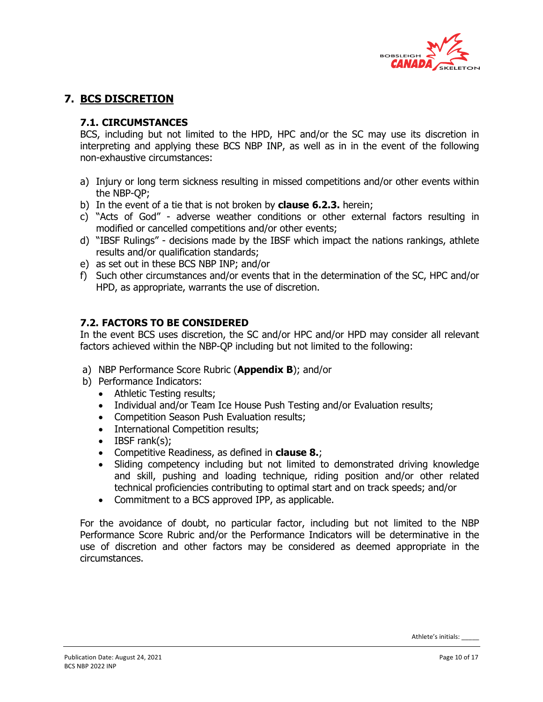

# **7. BCS DISCRETION**

# **7.1. CIRCUMSTANCES**

BCS, including but not limited to the HPD, HPC and/or the SC may use its discretion in interpreting and applying these BCS NBP INP, as well as in in the event of the following non-exhaustive circumstances:

- a) Injury or long term sickness resulting in missed competitions and/or other events within the NBP-QP;
- b) In the event of a tie that is not broken by **clause 6.2.3.** herein;
- c) "Acts of God" adverse weather conditions or other external factors resulting in modified or cancelled competitions and/or other events;
- d) "IBSF Rulings" decisions made by the IBSF which impact the nations rankings, athlete results and/or qualification standards;
- e) as set out in these BCS NBP INP; and/or
- f) Such other circumstances and/or events that in the determination of the SC, HPC and/or HPD, as appropriate, warrants the use of discretion.

### **7.2. FACTORS TO BE CONSIDERED**

In the event BCS uses discretion, the SC and/or HPC and/or HPD may consider all relevant factors achieved within the NBP-QP including but not limited to the following:

- a) NBP Performance Score Rubric (**Appendix B**); and/or
- b) Performance Indicators:
	- Athletic Testing results;
	- Individual and/or Team Ice House Push Testing and/or Evaluation results;
	- Competition Season Push Evaluation results;
	- International Competition results;
	- IBSF rank(s);
	- Competitive Readiness, as defined in **clause 8.**;
	- Sliding competency including but not limited to demonstrated driving knowledge and skill, pushing and loading technique, riding position and/or other related technical proficiencies contributing to optimal start and on track speeds; and/or
	- Commitment to a BCS approved IPP, as applicable.

For the avoidance of doubt, no particular factor, including but not limited to the NBP Performance Score Rubric and/or the Performance Indicators will be determinative in the use of discretion and other factors may be considered as deemed appropriate in the circumstances.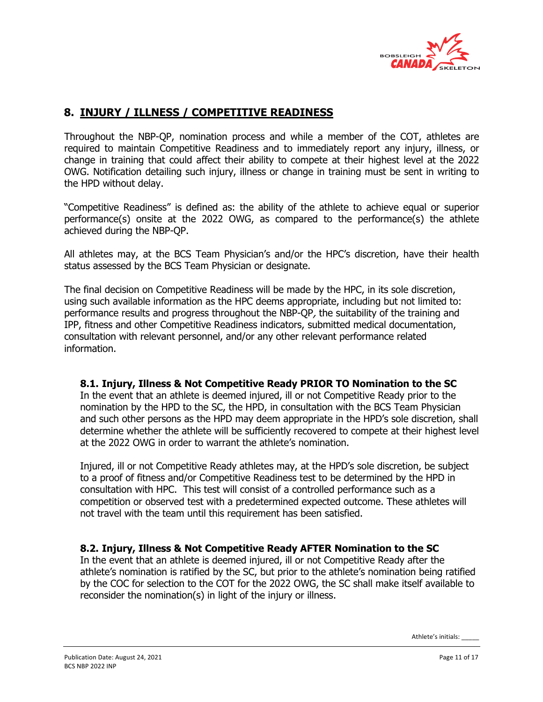

# **8. INJURY / ILLNESS / COMPETITIVE READINESS**

Throughout the NBP-QP, nomination process and while a member of the COT, athletes are required to maintain Competitive Readiness and to immediately report any injury, illness, or change in training that could affect their ability to compete at their highest level at the 2022 OWG. Notification detailing such injury, illness or change in training must be sent in writing to the HPD without delay.

"Competitive Readiness" is defined as: the ability of the athlete to achieve equal or superior performance(s) onsite at the 2022 OWG, as compared to the performance(s) the athlete achieved during the NBP-QP.

All athletes may, at the BCS Team Physician's and/or the HPC's discretion, have their health status assessed by the BCS Team Physician or designate.

The final decision on Competitive Readiness will be made by the HPC, in its sole discretion, using such available information as the HPC deems appropriate, including but not limited to: performance results and progress throughout the NBP-QP, the suitability of the training and IPP, fitness and other Competitive Readiness indicators, submitted medical documentation, consultation with relevant personnel, and/or any other relevant performance related information.

#### **8.1. Injury, Illness & Not Competitive Ready PRIOR TO Nomination to the SC**

In the event that an athlete is deemed injured, ill or not Competitive Ready prior to the nomination by the HPD to the SC, the HPD, in consultation with the BCS Team Physician and such other persons as the HPD may deem appropriate in the HPD's sole discretion, shall determine whether the athlete will be sufficiently recovered to compete at their highest level at the 2022 OWG in order to warrant the athlete's nomination.

Injured, ill or not Competitive Ready athletes may, at the HPD's sole discretion, be subject to a proof of fitness and/or Competitive Readiness test to be determined by the HPD in consultation with HPC. This test will consist of a controlled performance such as a competition or observed test with a predetermined expected outcome. These athletes will not travel with the team until this requirement has been satisfied.

#### **8.2. Injury, Illness & Not Competitive Ready AFTER Nomination to the SC**

In the event that an athlete is deemed injured, ill or not Competitive Ready after the athlete's nomination is ratified by the SC, but prior to the athlete's nomination being ratified by the COC for selection to the COT for the 2022 OWG, the SC shall make itself available to reconsider the nomination(s) in light of the injury or illness.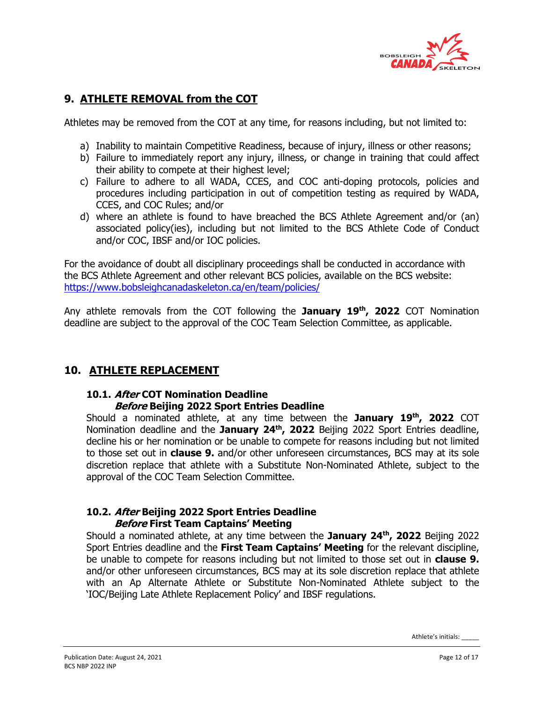

# **9. ATHLETE REMOVAL from the COT**

Athletes may be removed from the COT at any time, for reasons including, but not limited to:

- a) Inability to maintain Competitive Readiness, because of injury, illness or other reasons;
- b) Failure to immediately report any injury, illness, or change in training that could affect their ability to compete at their highest level;
- c) Failure to adhere to all WADA, CCES, and COC anti-doping protocols, policies and procedures including participation in out of competition testing as required by WADA, CCES, and COC Rules; and/or
- d) where an athlete is found to have breached the BCS Athlete Agreement and/or (an) associated policy(ies), including but not limited to the BCS Athlete Code of Conduct and/or COC, IBSF and/or IOC policies.

For the avoidance of doubt all disciplinary proceedings shall be conducted in accordance with the BCS Athlete Agreement and other relevant BCS policies, available on the BCS website: https://www.bobsleighcanadaskeleton.ca/en/team/policies/

Any athlete removals from the COT following the **January 19th, 2022** COT Nomination deadline are subject to the approval of the COC Team Selection Committee, as applicable.

# **10. ATHLETE REPLACEMENT**

#### **10.1. After COT Nomination Deadline Before Beijing 2022 Sport Entries Deadline**

Should a nominated athlete, at any time between the **January 19th, 2022** COT Nomination deadline and the **January 24th, 2022** Beijing 2022 Sport Entries deadline, decline his or her nomination or be unable to compete for reasons including but not limited to those set out in **clause 9.** and/or other unforeseen circumstances, BCS may at its sole discretion replace that athlete with a Substitute Non-Nominated Athlete, subject to the approval of the COC Team Selection Committee.

#### **10.2. After Beijing 2022 Sport Entries Deadline Before First Team Captains' Meeting**

Should a nominated athlete, at any time between the **January 24th, 2022** Beijing 2022 Sport Entries deadline and the **First Team Captains' Meeting** for the relevant discipline, be unable to compete for reasons including but not limited to those set out in **clause 9.** and/or other unforeseen circumstances, BCS may at its sole discretion replace that athlete with an Ap Alternate Athlete or Substitute Non-Nominated Athlete subject to the 'IOC/Beijing Late Athlete Replacement Policy' and IBSF regulations.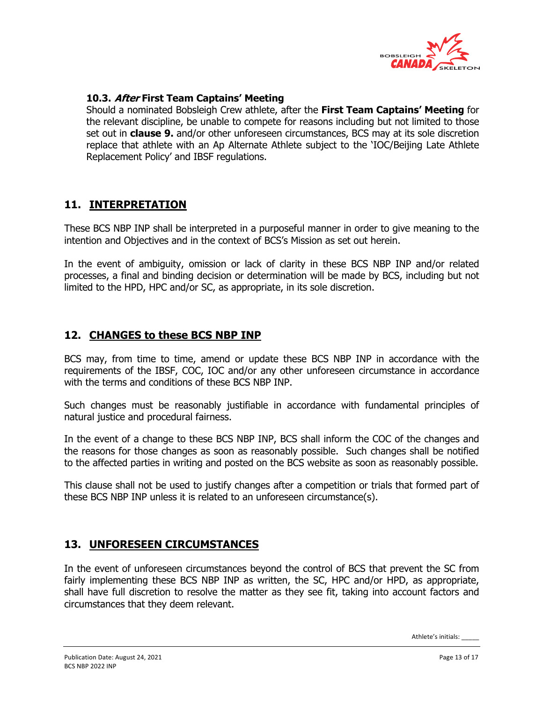

### **10.3. After First Team Captains' Meeting**

Should a nominated Bobsleigh Crew athlete, after the **First Team Captains' Meeting** for the relevant discipline, be unable to compete for reasons including but not limited to those set out in **clause 9.** and/or other unforeseen circumstances, BCS may at its sole discretion replace that athlete with an Ap Alternate Athlete subject to the 'IOC/Beijing Late Athlete Replacement Policy' and IBSF regulations.

# **11. INTERPRETATION**

These BCS NBP INP shall be interpreted in a purposeful manner in order to give meaning to the intention and Objectives and in the context of BCS's Mission as set out herein.

In the event of ambiguity, omission or lack of clarity in these BCS NBP INP and/or related processes, a final and binding decision or determination will be made by BCS, including but not limited to the HPD, HPC and/or SC, as appropriate, in its sole discretion.

# **12. CHANGES to these BCS NBP INP**

BCS may, from time to time, amend or update these BCS NBP INP in accordance with the requirements of the IBSF, COC, IOC and/or any other unforeseen circumstance in accordance with the terms and conditions of these BCS NBP INP.

Such changes must be reasonably justifiable in accordance with fundamental principles of natural justice and procedural fairness.

In the event of a change to these BCS NBP INP, BCS shall inform the COC of the changes and the reasons for those changes as soon as reasonably possible. Such changes shall be notified to the affected parties in writing and posted on the BCS website as soon as reasonably possible.

This clause shall not be used to justify changes after a competition or trials that formed part of these BCS NBP INP unless it is related to an unforeseen circumstance(s).

# **13. UNFORESEEN CIRCUMSTANCES**

In the event of unforeseen circumstances beyond the control of BCS that prevent the SC from fairly implementing these BCS NBP INP as written, the SC, HPC and/or HPD, as appropriate, shall have full discretion to resolve the matter as they see fit, taking into account factors and circumstances that they deem relevant.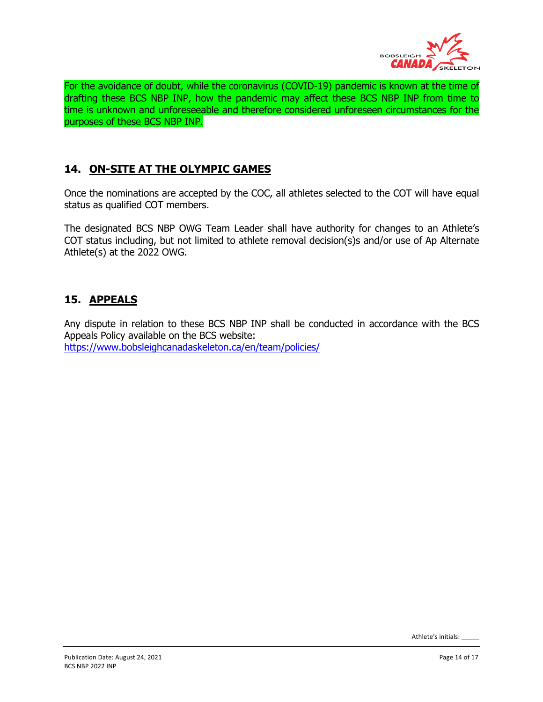

For the avoidance of doubt, while the coronavirus (COVID-19) pandemic is known at the time of drafting these BCS NBP INP, how the pandemic may affect these BCS NBP INP from time to time is unknown and unforeseeable and therefore considered unforeseen circumstances for the purposes of these BCS NBP INP.

# **14. ON-SITE AT THE OLYMPIC GAMES**

Once the nominations are accepted by the COC, all athletes selected to the COT will have equal status as qualified COT members.

The designated BCS NBP OWG Team Leader shall have authority for changes to an Athlete's COT status including, but not limited to athlete removal decision(s)s and/or use of Ap Alternate Athlete(s) at the 2022 OWG.

# **15. APPEALS**

Any dispute in relation to these BCS NBP INP shall be conducted in accordance with the BCS Appeals Policy available on the BCS website: https://www.bobsleighcanadaskeleton.ca/en/team/policies/

Athlete's initials: \_\_\_\_\_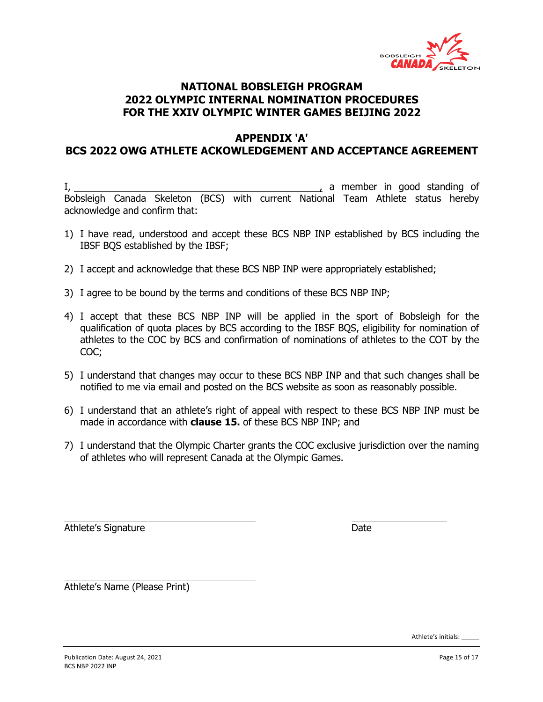

## **APPENDIX 'A' BCS 2022 OWG ATHLETE ACKOWLEDGEMENT AND ACCEPTANCE AGREEMENT**

I, 1. a member in good standing of Bobsleigh Canada Skeleton (BCS) with current National Team Athlete status hereby acknowledge and confirm that:

- 1) I have read, understood and accept these BCS NBP INP established by BCS including the IBSF BQS established by the IBSF;
- 2) I accept and acknowledge that these BCS NBP INP were appropriately established;
- 3) I agree to be bound by the terms and conditions of these BCS NBP INP;
- 4) I accept that these BCS NBP INP will be applied in the sport of Bobsleigh for the qualification of quota places by BCS according to the IBSF BQS, eligibility for nomination of athletes to the COC by BCS and confirmation of nominations of athletes to the COT by the COC;
- 5) I understand that changes may occur to these BCS NBP INP and that such changes shall be notified to me via email and posted on the BCS website as soon as reasonably possible.
- 6) I understand that an athlete's right of appeal with respect to these BCS NBP INP must be made in accordance with **clause 15.** of these BCS NBP INP; and
- 7) I understand that the Olympic Charter grants the COC exclusive jurisdiction over the naming of athletes who will represent Canada at the Olympic Games.

Athlete's Signature Date Date

Athlete's Name (Please Print)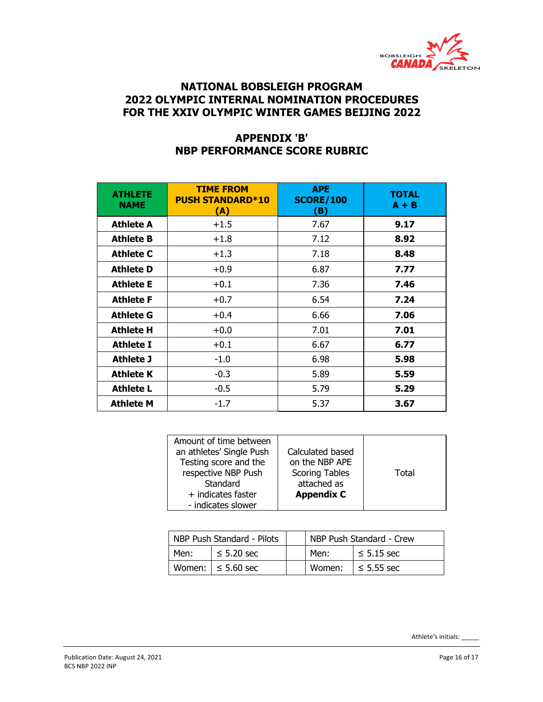

# **APPENDIX 'B' NBP PERFORMANCE SCORE RUBRIC**

| <b>ATHLETE</b><br><b>NAME</b> | <b>TIME FROM</b><br><b>PUSH STANDARD*10</b><br>(A) | <b>APE</b><br><b>SCORE/100</b><br>(B) | <b>TOTAL</b><br>$A + B$ |
|-------------------------------|----------------------------------------------------|---------------------------------------|-------------------------|
| <b>Athlete A</b>              | $+1.5$                                             | 7.67                                  | 9.17                    |
| <b>Athlete B</b>              | $+1.8$                                             | 7.12                                  | 8.92                    |
| <b>Athlete C</b>              | $+1.3$                                             | 7.18                                  | 8.48                    |
| <b>Athlete D</b>              | $+0.9$                                             | 6.87                                  | 7.77                    |
| <b>Athlete E</b>              | $+0.1$                                             | 7.36                                  | 7.46                    |
| <b>Athlete F</b>              | $+0.7$                                             | 6.54                                  | 7.24                    |
| <b>Athlete G</b>              | $+0.4$                                             | 6.66                                  | 7.06                    |
| <b>Athlete H</b>              | $+0.0$                                             | 7.01                                  | 7.01                    |
| <b>Athlete I</b>              | $+0.1$                                             | 6.67                                  | 6.77                    |
| Athlete J                     | $-1.0$                                             | 6.98                                  | 5.98                    |
| <b>Athlete K</b>              | $-0.3$                                             | 5.89                                  | 5.59                    |
| <b>Athlete L</b>              | $-0.5$                                             | 5.79                                  | 5.29                    |
| <b>Athlete M</b>              | $-1.7$                                             | 5.37                                  | 3.67                    |

| Amount of time between<br>an athletes' Single Push | Calculated based      |       |
|----------------------------------------------------|-----------------------|-------|
|                                                    |                       |       |
| Testing score and the                              | on the NBP APE        |       |
| respective NBP Push                                | <b>Scoring Tables</b> | Total |
| Standard                                           | attached as           |       |
| + indicates faster                                 | <b>Appendix C</b>     |       |
| - indicates slower                                 |                       |       |

|      | NBP Push Standard - Pilots |        | NBP Push Standard - Crew |
|------|----------------------------|--------|--------------------------|
| Men: | $\leq$ 5.20 sec            | Men:   | $\leq$ 5.15 sec          |
|      | Women: $\le$ 5.60 sec      | Women: | $\le$ 5.55 sec           |

Publication Date: August 24, 2021 **Page 16 of 17** Page 16 of 17 BCS NBP 2022 INP